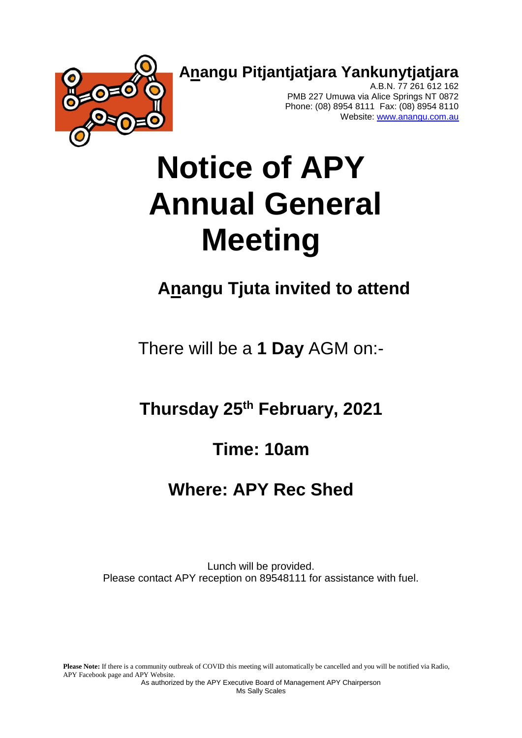**Anangu Pitjantjatjara Yankunytjatjara**



A.B.N. 77 261 612 162 PMB 227 Umuwa via Alice Springs NT 0872 Phone: (08) 8954 8111 Fax: (08) 8954 8110 Website: [www.anangu.com.au](http://www.anangu.com.au/)

# **Notice of APY Annual General Meeting**

# **Anangu Tjuta invited to attend**

There will be a **1 Day** AGM on:-

**Thursday 25 th February, 2021**

# **Time: 10am**

# **Where: APY Rec Shed**

Lunch will be provided. Please contact APY reception on 89548111 for assistance with fuel.

Please Note: If there is a community outbreak of COVID this meeting will automatically be cancelled and you will be notified via Radio, APY Facebook page and APY Website.

As authorized by the APY Executive Board of Management APY Chairperson Ms Sally Scales